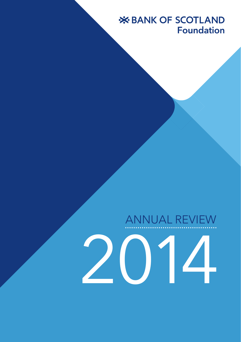# **X BANK OF SCOTLAND Foundation**

# ANNUAL REVIEW

2014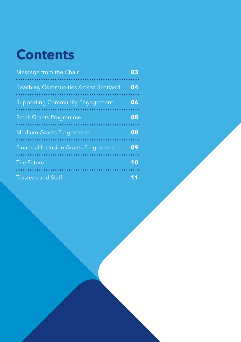# **Contents**

| Message from the Chair                      | 03 |
|---------------------------------------------|----|
| <b>Reaching Communities Across Scotland</b> | 04 |
| <b>Supporting Community Engagement</b>      | 06 |
| <b>Small Grants Programme</b>               | 08 |
| <b>Medium Grants Programme</b>              | 08 |
| <b>Financial Inclusion Grants Programme</b> | 09 |
| The Future                                  | 10 |
| <b>Trustees and Staff</b>                   |    |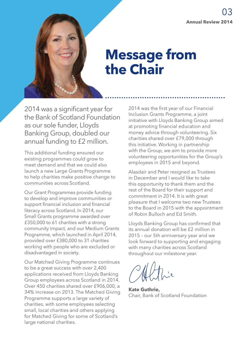

# **Message from the Chair**

2014 was a significant year for the Bank of Scotland Foundation as our sole funder, Lloyds Banking Group, doubled our annual funding to £2 million.

This additional funding ensured our existing programmes could grow to meet demand and that we could also launch a new Large Grants Programme to help charities make positive change to communities across Scotland.

Our Grant Programmes provide funding to develop and improve communities or support financial inclusion and financial literacy across Scotland. In 2014, our Small Grants programme awarded over £350,000 to 61 charities with a strong community impact, and our Medium Grants Programme, which launched in April 2014, provided over £380,000 to 31 charities working with people who are excluded or disadvantaged in society.

Our Matched Giving Programme continues to be a great success with over 2,400 applications received from Lloyds Banking Group employees across Scotland in 2014. Over 450 charities shared over £906,000, a 34% increase on 2013. The Matched Giving Programme supports a large variety of charities, with some employees selecting small, local charities and others applying for Matched Giving for some of Scotland's large national charities.

2014 was the first year of our Financial Inclusion Grants Programme, a joint initiative with Lloyds Banking Group aimed at promoting financial education and money advice through volunteering. Six charities shared over £79,000 through this initiative. Working in partnership with the Group, we aim to provide more volunteering opportunities for the Group's employees in 2015 and beyond.

Alasdair and Peter resigned as Trustees in December and I would like to take this opportunity to thank them and the rest of the Board for their support and commitment in 2014. It is with great pleasure that I welcome two new Trustees to the Board in 2015 with the appointment of Robin Bulloch and Ed Smith.

Lloyds Banking Group has confirmed that its annual donation will be £2 million in 2015 – our 5th anniversary year and we look forward to supporting and engaging with many charities across Scotland throughout our milestone year.

**Kate Guthrie,**  Chair, Bank of Scotland Foundation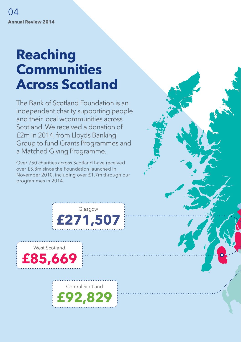# **Reaching Communities Across Scotland**

The Bank of Scotland Foundation is an independent charity supporting people and their local wcommunities across Scotland. We received a donation of £2m in 2014, from Lloyds Banking Group to fund Grants Programmes and a Matched Giving Programme.

Over 750 charities across Scotland have received over £5.8m since the Foundation launched in November 2010, including over £1.7m through our programmes in 2014.



West Scotland **£85,669** 

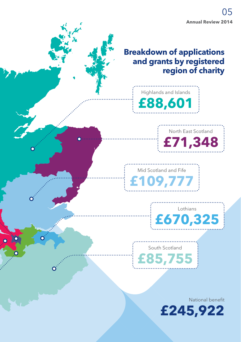### **Breakdown of applications and grants by registered region of charity**





Mid Scotland and Fife **£109,777** 



South Scotland **£85,755** 

National benefit

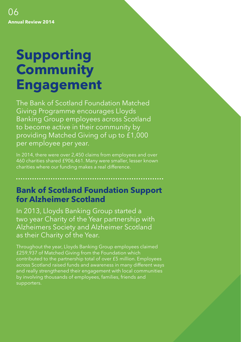# **Supporting Community Engagement**

The Bank of Scotland Foundation Matched Giving Programme encourages Lloyds Banking Group employees across Scotland to become active in their community by providing Matched Giving of up to £1,000 per employee per year.

In 2014, there were over 2,450 claims from employees and over 460 charities shared £906,461. Many were smaller, lesser known charities where our funding makes a real difference.

## **Bank of Scotland Foundation Support for Alzheimer Scotland**

In 2013, Lloyds Banking Group started a two year Charity of the Year partnership with Alzheimers Society and Alzheimer Scotland as their Charity of the Year.

Throughout the year, Lloyds Banking Group employees claimed £259,937 of Matched Giving from the Foundation which contributed to the partnership total of over £5 million. Employees across Scotland raised funds and awareness in many different ways and really strengthened their engagement with local communities by involving thousands of employees, families, friends and supporters.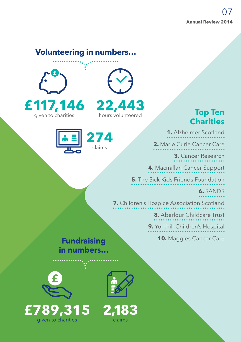### **Volunteering in numbers…**





**274**  claims

# **Top Ten Charities**

**1.** Alzheimer Scotland

**2.** Marie Curie Cancer Care

**3.** Cancer Research

**4.** Macmillan Cancer Support

**5.** The Sick Kids Friends Foundation

**6.** SANDS

**7.** Children's Hospice Association Scotland

**8.** Aberlour Childcare Trust

**9.** Yorkhill Children's Hospital

**10.** Maggies Cancer Care

# **Fundraising in numbers…**







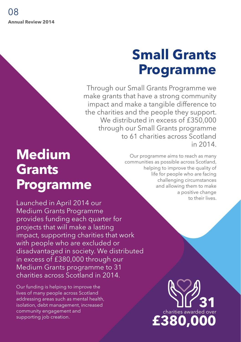# **Small Grants Programme**

Through our Small Grants Programme we make grants that have a strong community impact and make a tangible difference to the charities and the people they support. We distributed in excess of £350,000 through our Small Grants programme to 61 charities across Scotland in 2014.

# **Medium Grants Programme**

Launched in April 2014 our Medium Grants Programme provides funding each quarter for projects that will make a lasting impact, supporting charities that work with people who are excluded or disadvantaged in society. We distributed in excess of £380,000 through our Medium Grants programme to 31 charities across Scotland in 2014.

Our funding is helping to improve the lives of many people across Scotland addressing areas such as mental health, isolation, debt management, increased community engagement and supporting job creation.

Our programme aims to reach as many communities as possible across Scotland, helping to improve the quality of life for people who are facing challenging circumstances and allowing them to make a positive change to their lives.

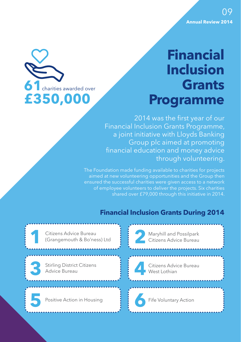

# **Financial Inclusion Grants Programme**

2014 was the first year of our Financial Inclusion Grants Programme, a joint initiative with Lloyds Banking Group plc aimed at promoting financial education and money advice through volunteering.

The Foundation made funding available to charities for projects aimed at new volunteering opportunities and the Group then of employee volunteers to deliver the projects. Six charities shared over £79,000 through this initiative in 2014.

### **Financial Inclusion Grants During 2014**

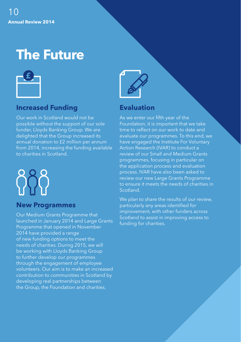# **The Future**



### **Increased Funding**

Our work in Scotland would not be possible without the support of our sole funder, Lloyds Banking Group. We are delighted that the Group increased its annual donation to £2 million per annum from 2014, increasing the funding available to charities in Scotland.

#### **New Programmes**

Our Medium Grants Programme that launched in January 2014 and Large Grants Programme that opened in November 2014 have provided a range of new funding options to meet the needs of charities. During 2015, we will be working with Lloyds Banking Group to further develop our programmes through the engagement of employee volunteers. Our aim is to make an increased contribution to communities in Scotland by developing real partnerships between the Group, the Foundation and charities.



### **Evaluation**

As we enter our fifth year of the Foundation, it is important that we take time to reflect on our work to date and evaluate our programmes. To this end, we have engaged the Institute For Voluntary Action Research (IVAR) to conduct a review of our Small and Medium Grants programmes, focusing in particular on the application process and evaluation process. IVAR have also been asked to review our new Large Grants Programme to ensure it meets the needs of charities in Scotland.

We plan to share the results of our review, particularly any areas identified for improvement, with other funders across Scotland to assist in improving access to funding for charities.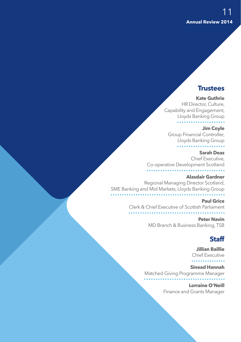#### **Trustees**

#### **Kate Guthrie**

HR Director, Culture, Capability and Engagement, Lloyds Banking Group

#### **Jim Coyle**

Group Financial Controller, Lloyds Banking Group

#### **Sarah Deas**

Chief Executive, Co-operative Development Scotland

#### **Alasdair Gardner**

Regional Managing Director Scotland, SME Banking and Mid Markets, Lloyds Banking Group

#### **Paul Grice** Clerk & Chief Executive of Scottish Parliament

**Peter Navin** MD Branch & Business Banking, TSB

#### **Staff**

**Jillian Baillie** Chief Executive . . . . . . . .

**Sinead Hannah** Matched Giving Programme Manager

> **Lorraine O'Neill** Finance and Grants Manager